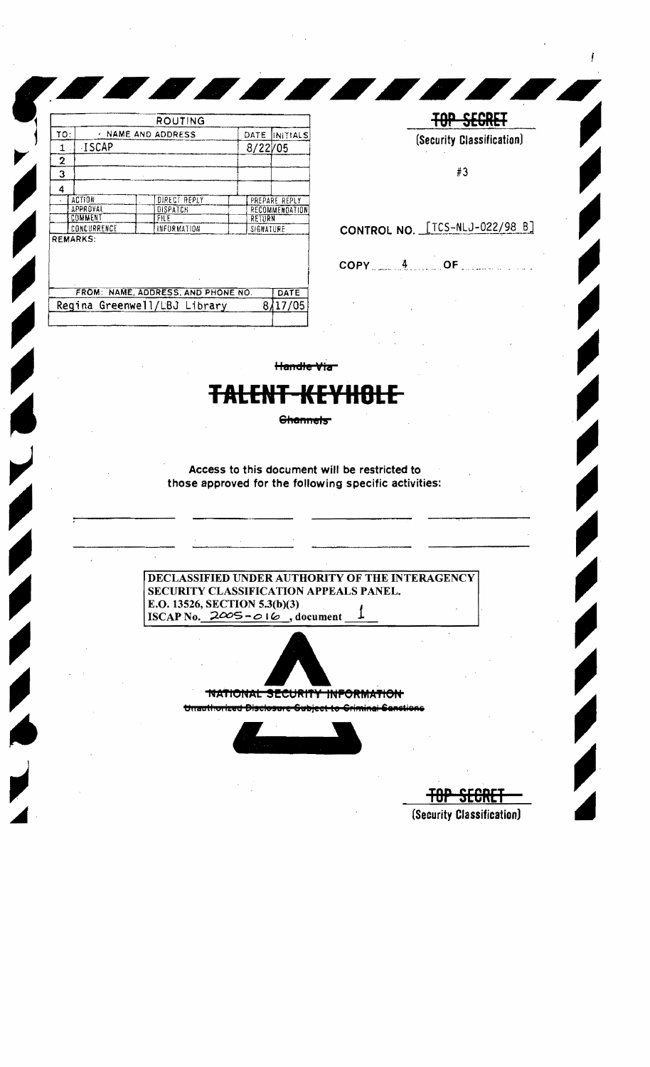|     |                    | ROUTING                                                            |      |                                              |  |
|-----|--------------------|--------------------------------------------------------------------|------|----------------------------------------------|--|
| TO: | - NAME AND ADDRESS |                                                                    | DATE | INITIALS                                     |  |
| 1   | <b>ISCAP</b>       |                                                                    |      | 8/22/05                                      |  |
| 2   |                    |                                                                    |      |                                              |  |
| з   |                    |                                                                    |      |                                              |  |
| 4   |                    |                                                                    |      |                                              |  |
|     | <b>ACTION</b>      | DIRECT REPLY                                                       |      | PREPARE REPLY                                |  |
|     | APPROVAL           | DISPATCH                                                           |      | <b>RECOMMENDATION</b><br>RETURN<br>SIGNATURE |  |
|     | COMMENT            | FILE                                                               |      |                                              |  |
|     | CONCURRENCE        | INFORMATION                                                        |      |                                              |  |
|     | <b>REMARKS:</b>    |                                                                    |      |                                              |  |
|     |                    |                                                                    |      |                                              |  |
|     |                    | FROM: NAME, ADDRESS, AND PHONE NO.<br>Regina Greenwell/LBJ Library |      | DATE<br>8/17/05                              |  |

**TOP SEGRET** (Security Classification)

#3

## CONTROL NO. [TCS-NLJ-022/98 B]

 $COPY$   $4$   $OF$ 

Handle Via

## د دان

**Channels** 

Access to this document will be restricted to those approved for the following specific activities:

DECLASSIFIED UNDER AUTHORITY OF THE INTERAGENCY SECURITY CLASSIFICATION APPEALS PANEL. E.O. 13526, SECTION 5.3(b)(3)<br>ISCAP No.  $2005 - 016$ , document



TNATIONAL SECURITY **HUFORMATION** 

Unauthorized Disclosure Subject to Criminal S



╈╈ (Security Classification)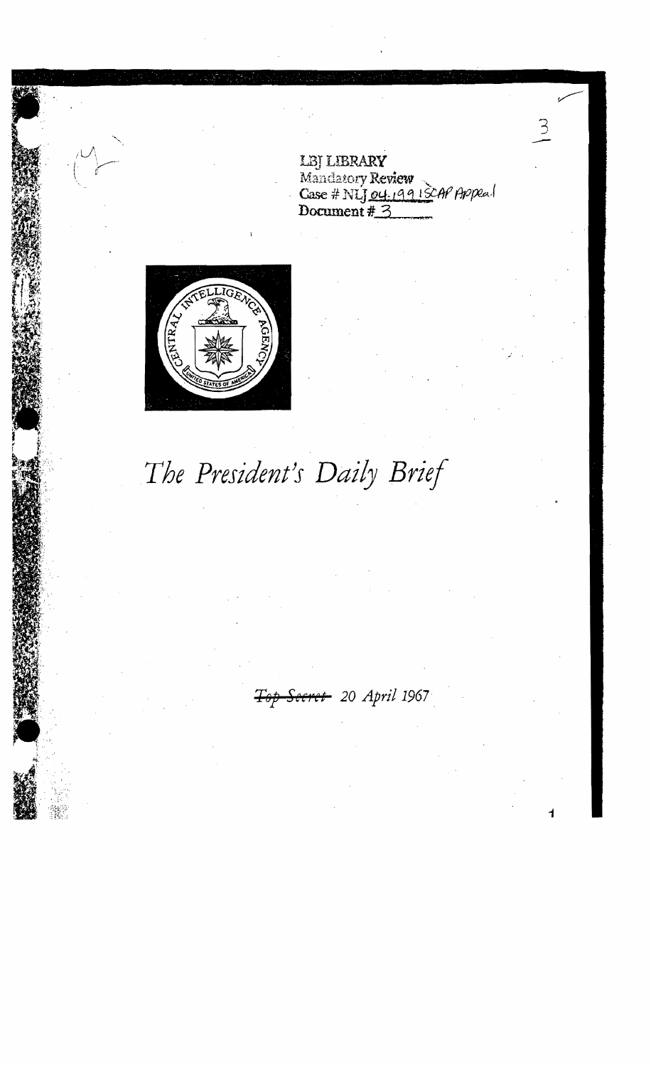LBJ LIBRARY<br>Mandatory Review<br>Case # NLJ 04.19913CAP Appeal<br>Document # 3



## The President's Daily Brief

<del>Secret</del> 20 April 1967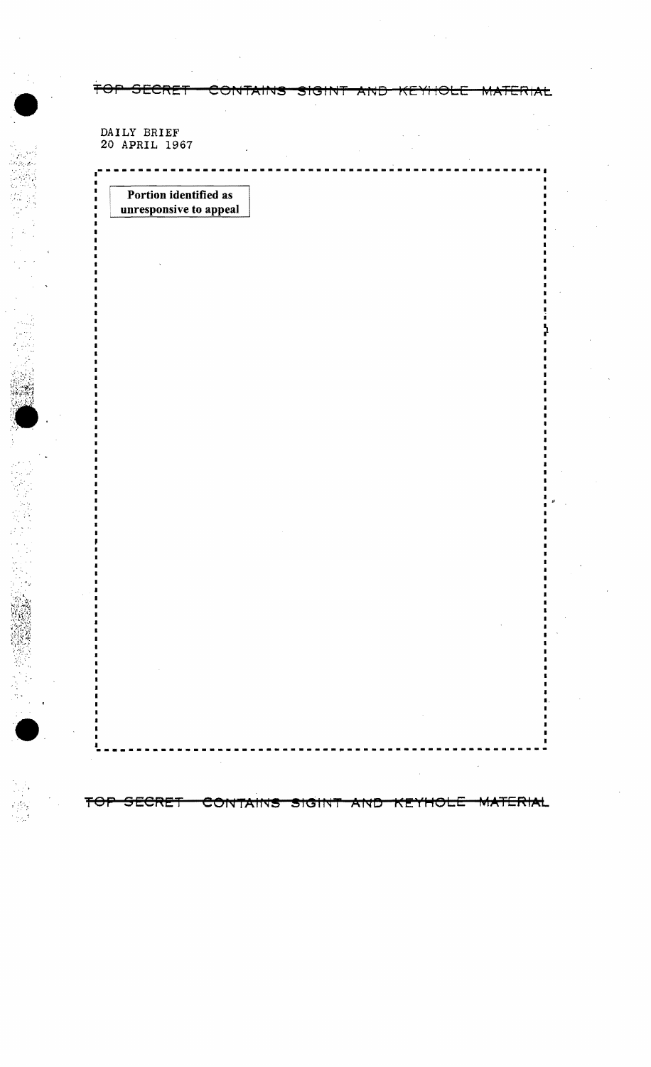DAILY BRIEF 20 APRIL 1967

 $\bullet$ 

..

> .•.

an Inggris.<br>Pangyayar

 $, \cdot$  "

..

 $\bullet$ 

ity.

Portion identified as unresponsive to appeal

•

. .

**TOP SECRET CONTAINS SIGINT AND KEYHOLE MATERIAL** 

**---------------------------.------------------\_.\_-----**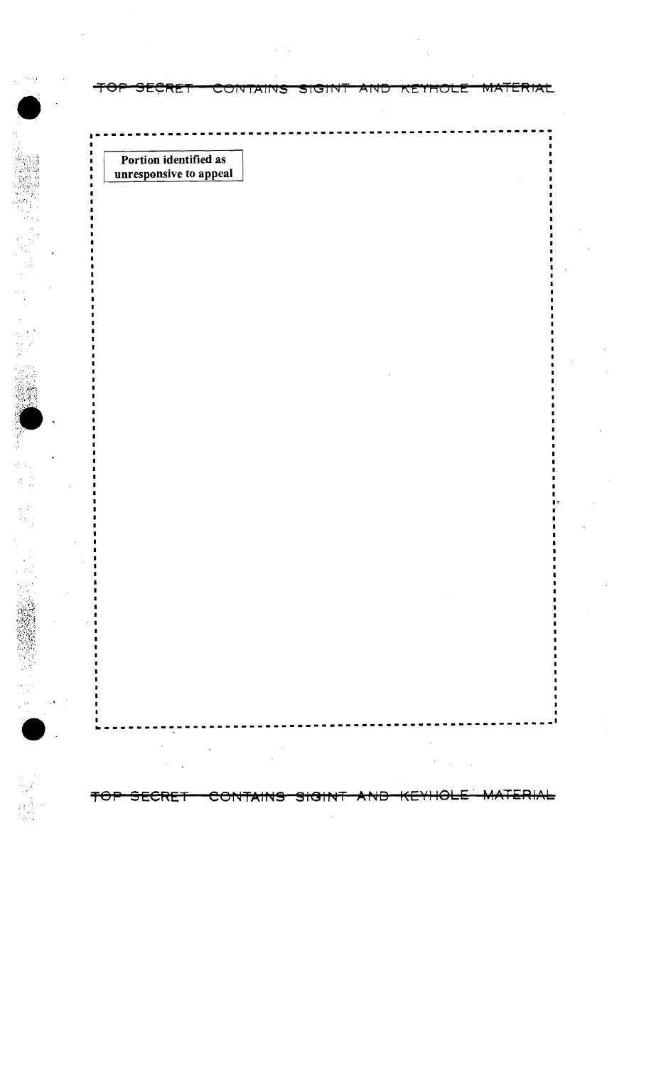╤⊖₹ <del>MATERIAL</del> <del>SECRET</del> CONTAINS SIGINT AND <u>KEYHOLE</u>

Portion identified as unresponsive to appeal

 $\sim$  +  $\pm$ 

<del>ERIAL</del> <del>SECRET</del> CONTAINS <del>AND</del> <del>⊀⊖⊦</del> <del>SIGINT</del>